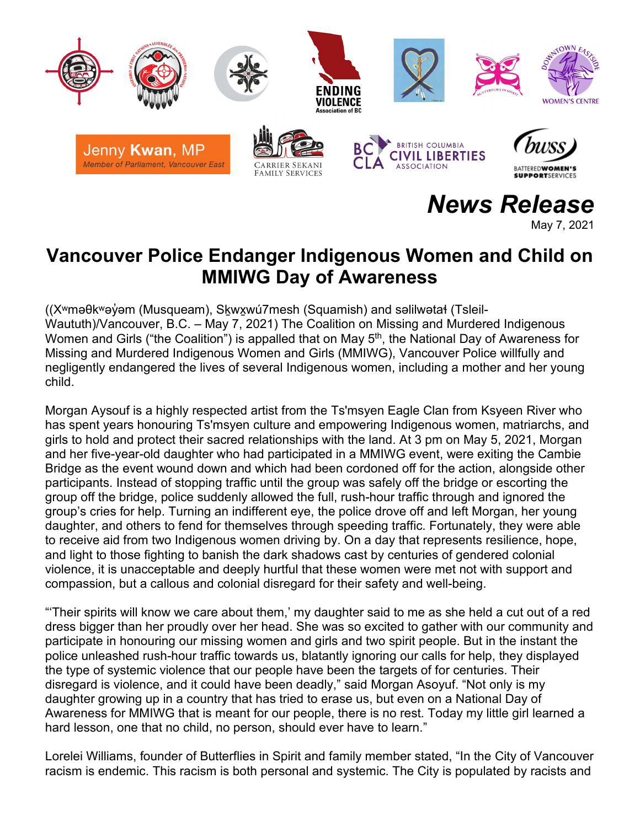

*News Release*

May 7, 2021

## **Vancouver Police Endanger Indigenous Women and Child on MMIWG Day of Awareness**

((Xʷməθkʷəy̓əm (Musqueam), Sḵwx̱wú7mesh (Squamish) and səlilwətaɬ (Tsleil-Waututh)/Vancouver, B.C. – May 7, 2021) The Coalition on Missing and Murdered Indigenous Women and Girls ("the Coalition") is appalled that on May 5<sup>th</sup>, the National Day of Awareness for Missing and Murdered Indigenous Women and Girls (MMIWG), Vancouver Police willfully and negligently endangered the lives of several Indigenous women, including a mother and her young child.

Morgan Aysouf is a highly respected artist from the Ts'msyen Eagle Clan from Ksyeen River who has spent years honouring Ts'msyen culture and empowering Indigenous women, matriarchs, and girls to hold and protect their sacred relationships with the land. At 3 pm on May 5, 2021, Morgan and her five-year-old daughter who had participated in a MMIWG event, were exiting the Cambie Bridge as the event wound down and which had been cordoned off for the action, alongside other participants. Instead of stopping traffic until the group was safely off the bridge or escorting the group off the bridge, police suddenly allowed the full, rush-hour traffic through and ignored the group's cries for help. Turning an indifferent eye, the police drove off and left Morgan, her young daughter, and others to fend for themselves through speeding traffic. Fortunately, they were able to receive aid from two Indigenous women driving by. On a day that represents resilience, hope, and light to those fighting to banish the dark shadows cast by centuries of gendered colonial violence, it is unacceptable and deeply hurtful that these women were met not with support and compassion, but a callous and colonial disregard for their safety and well-being.

"'Their spirits will know we care about them,' my daughter said to me as she held a cut out of a red dress bigger than her proudly over her head. She was so excited to gather with our community and participate in honouring our missing women and girls and two spirit people. But in the instant the police unleashed rush-hour traffic towards us, blatantly ignoring our calls for help, they displayed the type of systemic violence that our people have been the targets of for centuries. Their disregard is violence, and it could have been deadly," said Morgan Asoyuf. "Not only is my daughter growing up in a country that has tried to erase us, but even on a National Day of Awareness for MMIWG that is meant for our people, there is no rest. Today my little girl learned a hard lesson, one that no child, no person, should ever have to learn."

Lorelei Williams, founder of Butterflies in Spirit and family member stated, "In the City of Vancouver racism is endemic. This racism is both personal and systemic. The City is populated by racists and